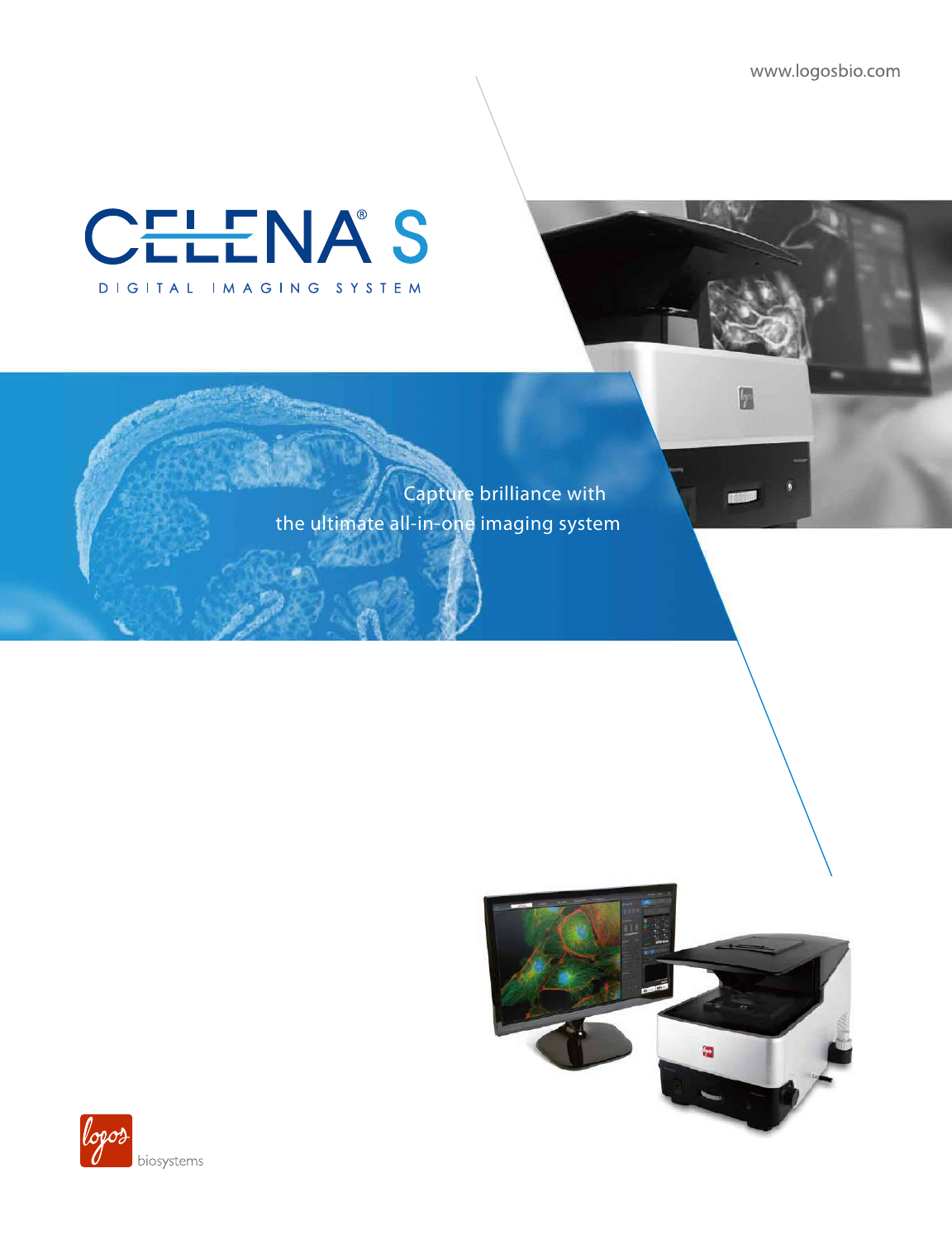www.logosbio.com

G

# CELENA'S DIGITAL IMAGING SYSTEM

Capture brilliance with the ultimate all-in-one imaging system



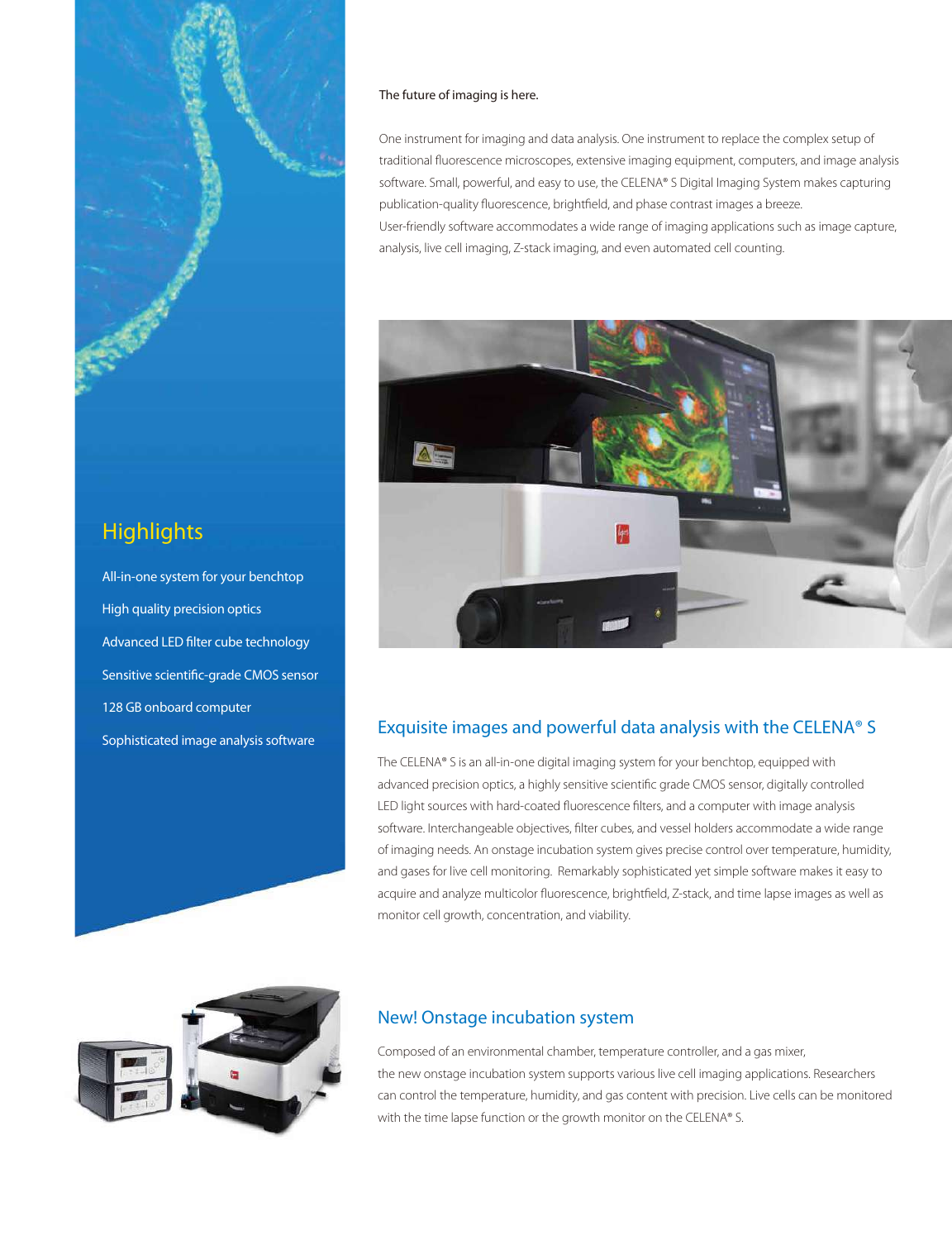

## **Highlights**

All-in-one system for your benchtop High quality precision optics Advanced LED filter cube technology Sensitive scientific-grade CMOS sensor 128 GB onboard computer Sophisticated image analysis software

#### The future of imaging is here.

One instrument for imaging and data analysis. One instrument to replace the complex setup of traditional fluorescence microscopes, extensive imaging equipment, computers, and image analysis software. Small, powerful, and easy to use, the CELENA® S Digital Imaging System makes capturing publication-quality fluorescence, brightfield, and phase contrast images a breeze. User-friendly software accommodates a wide range of imaging applications such as image capture, analysis, live cell imaging, Z-stack imaging, and even automated cell counting.



### Exquisite images and powerful data analysis with the CELENA® S

The CELENA® S is an all-in-one digital imaging system for your benchtop, equipped with advanced precision optics, a highly sensitive scientific grade CMOS sensor, digitally controlled LED light sources with hard-coated fluorescence filters, and a computer with image analysis software. Interchangeable objectives, filter cubes, and vessel holders accommodate a wide range of imaging needs. An onstage incubation system gives precise control over temperature, humidity, and gases for live cell monitoring. Remarkably sophisticated yet simple software makes it easy to acquire and analyze multicolor fluorescence, brightfield, Z-stack, and time lapse images as well as monitor cell growth, concentration, and viability.



### New! Onstage incubation system

Composed of an environmental chamber, temperature controller, and a gas mixer, the new onstage incubation system supports various live cell imaging applications. Researchers can control the temperature, humidity, and gas content with precision. Live cells can be monitored with the time lapse function or the growth monitor on the CELENA® S.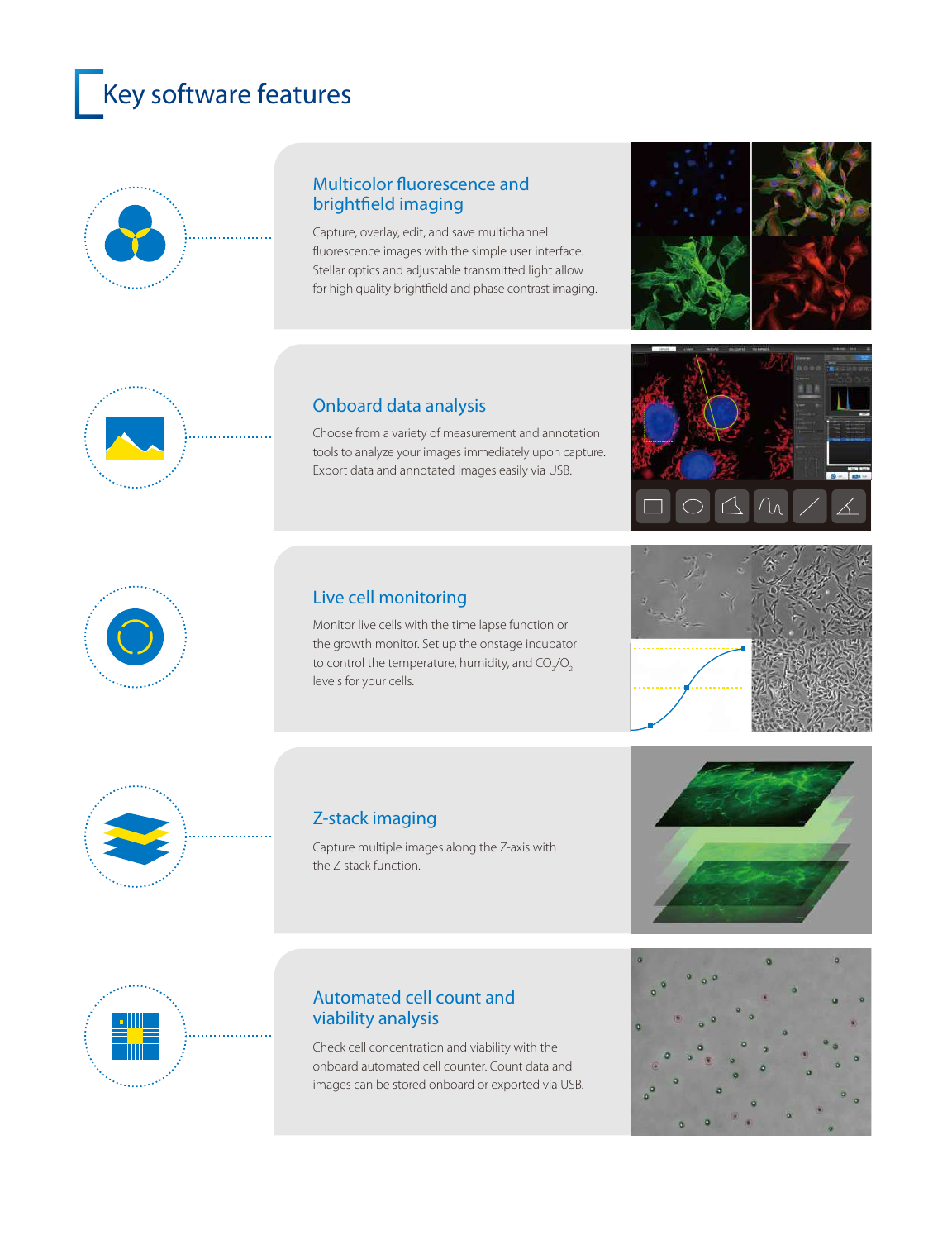# **Key software features**



### Multicolor fluorescence and brightfield imaging

Capture, overlay, edit, and save multichannel fluorescence images with the simple user interface. Stellar optics and adjustable transmitted light allow for high quality brightfield and phase contrast imaging.





### Onboard data analysis

Choose from a variety of measurement and annotation tools to analyze your images immediately upon capture. Export data and annotated images easily via USB.



## Live cell monitoring

Monitor live cells with the time lapse function or the growth monitor. Set up the onstage incubator to control the temperature, humidity, and  $\mathsf{CO}_2\!\!/\mathsf{O}_2$ levels for your cells.





## Z-stack imaging

Capture multiple images along the Z-axis with the Z-stack function.





### Automated cell count and viability analysis

Check cell concentration and viability with the onboard automated cell counter. Count data and images can be stored onboard or exported via USB.

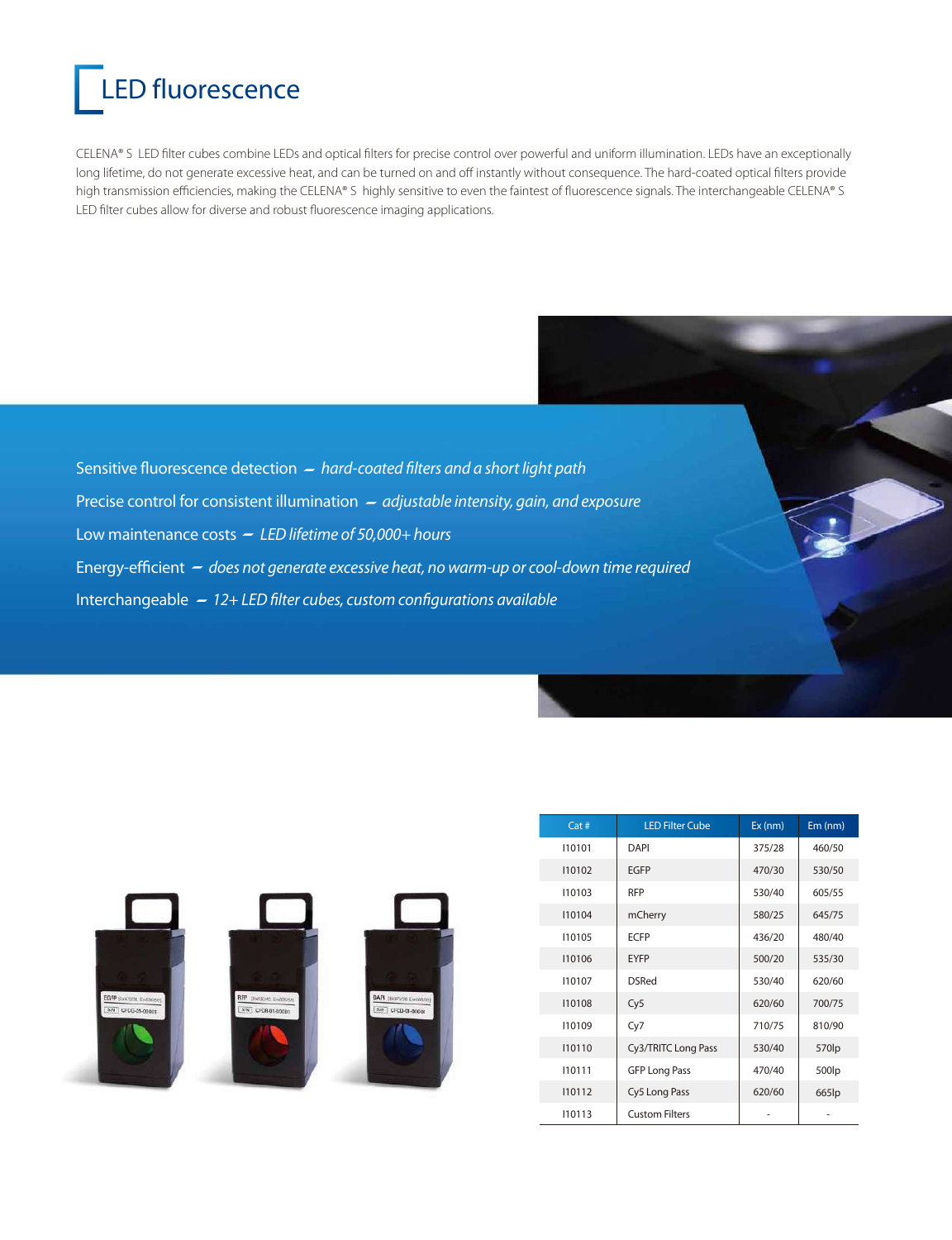# LED fluorescence

CELENA® S LED filter cubes combine LEDs and optical filters for precise control over powerful and uniform illumination. LEDs have an exceptionally long lifetime, do not generate excessive heat, and can be turned on and off instantly without consequence. The hard-coated optical filters provide high transmission efficiencies, making the CELENA® S highly sensitive to even the faintest of fluorescence signals. The interchangeable CELENA® S LED filter cubes allow for diverse and robust fluorescence imaging applications.

Sensitive fluorescence detection *- hard-coated filters and a short light path* Precise control for consistent illumination *- adjustable intensity, gain, and exposure* Low maintenance costs *LED lifetime of 50,000+ hours* Energy-efficient *- does not generate excessive heat, no warm-up or cool-down time required* Interchangeable - 12+ LED filter cubes, custom configurations available



|  | Cat#   | <b>LED Filter Cube</b> | Ex (nm) | Em (nm) |  |
|--|--------|------------------------|---------|---------|--|
|  | 110101 | DAPI                   | 375/28  | 460/50  |  |
|  | 110102 | <b>EGFP</b>            | 470/30  | 530/50  |  |
|  | 110103 | <b>RFP</b>             | 530/40  | 605/55  |  |
|  | 110104 | mCherry                | 580/25  | 645/75  |  |
|  | 110105 | <b>ECFP</b>            | 436/20  | 480/40  |  |
|  | 110106 | <b>EYFP</b>            | 500/20  | 535/30  |  |
|  | 110107 | <b>DSRed</b>           | 530/40  | 620/60  |  |
|  | 110108 | Cy5                    | 620/60  | 700/75  |  |
|  | 110109 | Cy7                    | 710/75  | 810/90  |  |
|  | 110110 | Cy3/TRITC Long Pass    | 530/40  | 570lp   |  |
|  | 110111 | <b>GFP Long Pass</b>   | 470/40  | 500lp   |  |
|  | 110112 | Cy5 Long Pass          | 620/60  | 665lp   |  |
|  | 110113 | <b>Custom Filters</b>  |         |         |  |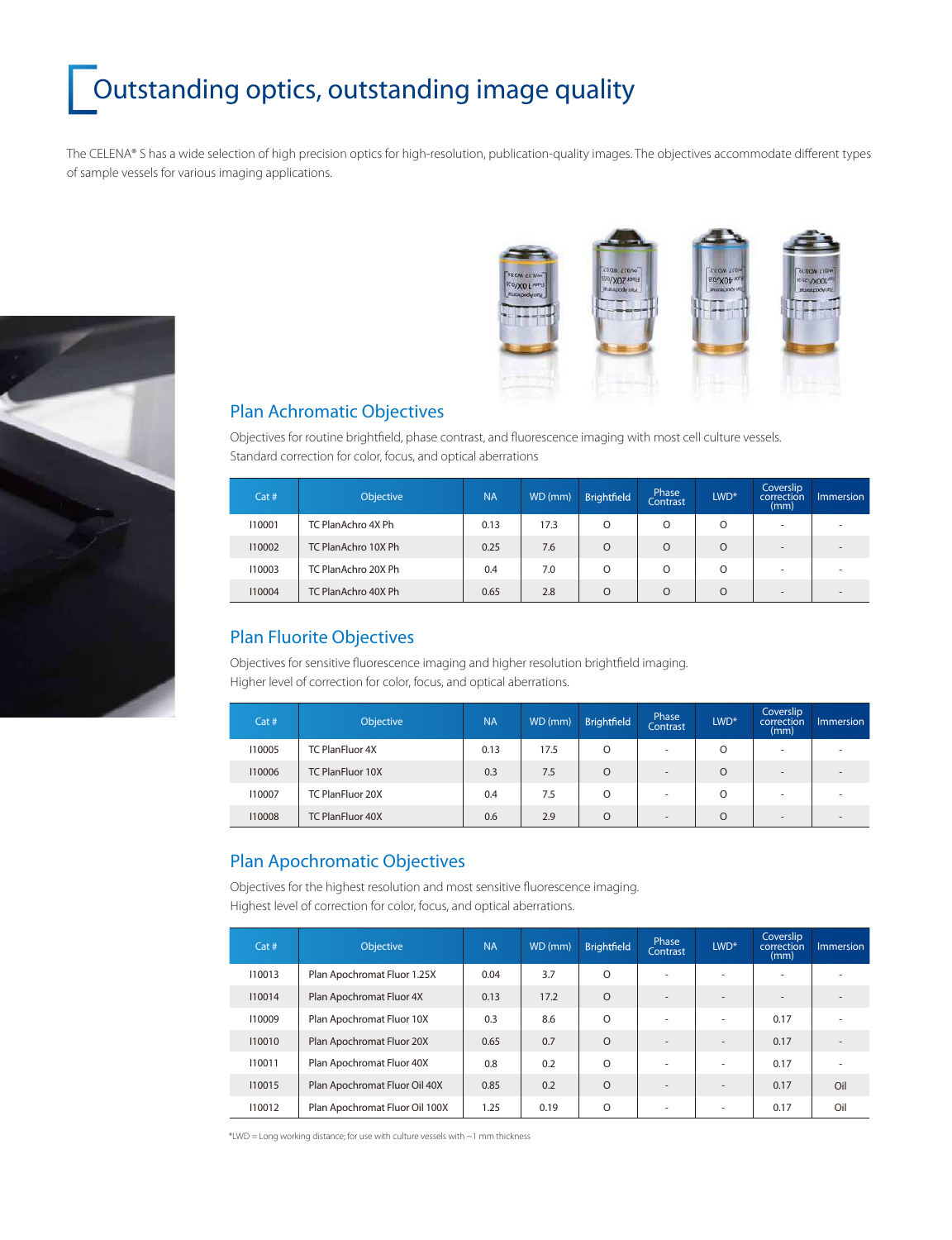# Outstanding optics, outstanding image quality

The CELENA® S has a wide selection of high precision optics for high-resolution, publication-quality images. The objectives accommodate different types of sample vessels for various imaging applications.





### Plan Achromatic Objectives

Objectives for routine brightfield, phase contrast, and fluorescence imaging with most cell culture vessels. Standard correction for color, focus, and optical aberrations

| Cat#   | Objective           | <b>NA</b> | WD (mm) | <b>Brightfield</b> | Phase<br>Contrast | $LWD*$ | Coverslip<br>correction<br>(mm) | <i>Immersion</i>         |
|--------|---------------------|-----------|---------|--------------------|-------------------|--------|---------------------------------|--------------------------|
| 110001 | TC PlanAchro 4X Ph  | 0.13      | 17.3    | O                  | $\Omega$          | O      | ۰                               | $\sim$                   |
| 110002 | TC PlanAchro 10X Ph | 0.25      | 7.6     | $\Omega$           | $\Omega$          | O      | $\overline{\phantom{a}}$        | $\overline{\phantom{a}}$ |
| 110003 | TC PlanAchro 20X Ph | 0.4       | 7.0     | $\Omega$           | $\Omega$          | O      | ۰                               | $\sim$                   |
| 110004 | TC PlanAchro 40X Ph | 0.65      | 2.8     | $\Omega$           | $\Omega$          | O      | $\overline{\phantom{a}}$        | $\overline{\phantom{a}}$ |

### Plan Fluorite Objectives

Objectives for sensitive fluorescence imaging and higher resolution brightfield imaging. Higher level of correction for color, focus, and optical aberrations.

| Cat#   | Objective               | <b>NA</b> | WD (mm) | <b>Brightfield</b> | Phase<br>Contrast        | $LWD*$   | Coverslip<br>correction<br>(mm) | <i>Immersion</i>         |
|--------|-------------------------|-----------|---------|--------------------|--------------------------|----------|---------------------------------|--------------------------|
| 110005 | <b>TC PlanFluor 4X</b>  | 0.13      | 17.5    | $\Omega$           | $\overline{\phantom{a}}$ | O        | ۰                               | $\overline{\phantom{a}}$ |
| 110006 | <b>TC PlanFluor 10X</b> | 0.3       | 7.5     | $\Omega$           | $\overline{\phantom{a}}$ | $\Omega$ | $\overline{\phantom{a}}$        | $\overline{\phantom{a}}$ |
| 110007 | <b>TC PlanFluor 20X</b> | 0.4       | 7.5     | $\Omega$           | $\overline{\phantom{a}}$ | O        | ۰                               | $\sim$                   |
| 110008 | TC PlanFluor 40X        | 0.6       | 2.9     | $\Omega$           | -                        | $\Omega$ | $\overline{\phantom{a}}$        | $\overline{a}$           |

### Plan Apochromatic Objectives

Objectives for the highest resolution and most sensitive fluorescence imaging. Highest level of correction for color, focus, and optical aberrations.

| Cat#   | Objective                      | <b>NA</b> | WD (mm) | <b>Brightfield</b> | Phase<br>Contrast        | $LWD*$                   | Coverslip<br>correction<br>(mm) | <b>Immersion</b> |
|--------|--------------------------------|-----------|---------|--------------------|--------------------------|--------------------------|---------------------------------|------------------|
| 110013 | Plan Apochromat Fluor 1.25X    | 0.04      | 3.7     | $\Omega$           | $\sim$                   | $\sim$                   | ٠                               |                  |
| 110014 | Plan Apochromat Fluor 4X       | 0.13      | 17.2    | $\Omega$           | $\overline{\phantom{a}}$ | $\overline{\phantom{a}}$ | $\sim$                          |                  |
| 110009 | Plan Apochromat Fluor 10X      | 0.3       | 8.6     | $\Omega$           | $\overline{\phantom{a}}$ | $\overline{\phantom{a}}$ | 0.17                            |                  |
| 110010 | Plan Apochromat Fluor 20X      | 0.65      | 0.7     | $\Omega$           |                          | $\overline{\phantom{a}}$ | 0.17                            |                  |
| 110011 | Plan Apochromat Fluor 40X      | 0.8       | 0.2     | $\Omega$           | $\sim$                   | $\overline{\phantom{a}}$ | 0.17                            | ٠                |
| 110015 | Plan Apochromat Fluor Oil 40X  | 0.85      | 0.2     | $\Omega$           | $\overline{\phantom{a}}$ | $\overline{\phantom{a}}$ | 0.17                            | Oil              |
| 110012 | Plan Apochromat Fluor Oil 100X | 1.25      | 0.19    | $\Omega$           | $\sim$                   | $\overline{\phantom{a}}$ | 0.17                            | Oil              |

 $*LWD = Long$  working distance; for use with culture vessels with  $\sim$ 1 mm thickness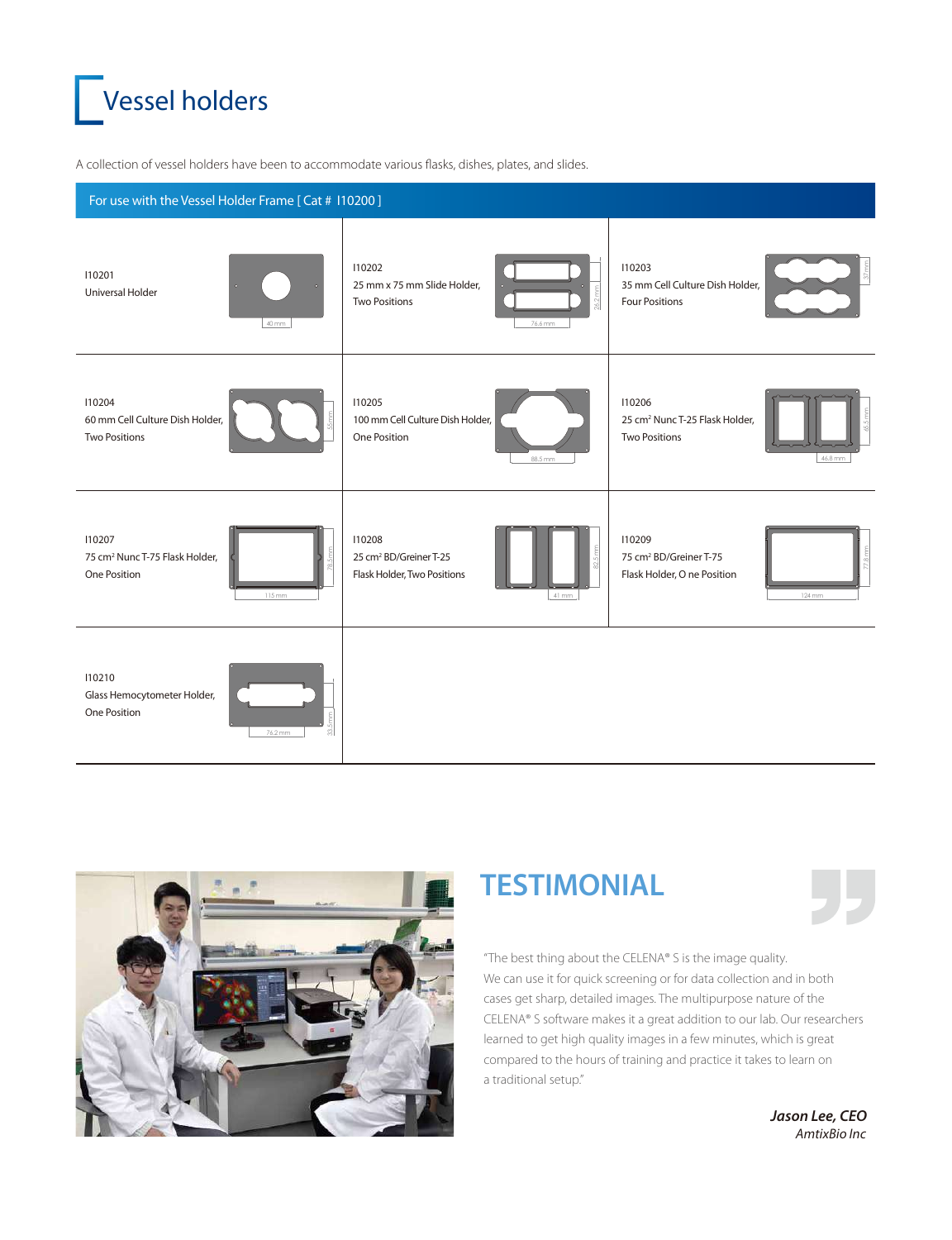

A collection of vessel holders have been to accommodate various flasks, dishes, plates, and slides.





## **TESTIMONIAL**

"The best thing about the CELENA® S is the image quality. We can use it for quick screening or for data collection and in both cases get sharp, detailed images. The multipurpose nature of the CELENA® S software makes it a great addition to our lab. Our researchers learned to get high quality images in a few minutes, which is great compared to the hours of training and practice it takes to learn on a traditional setup."

> *Jason Lee, CEO AmtixBio Inc*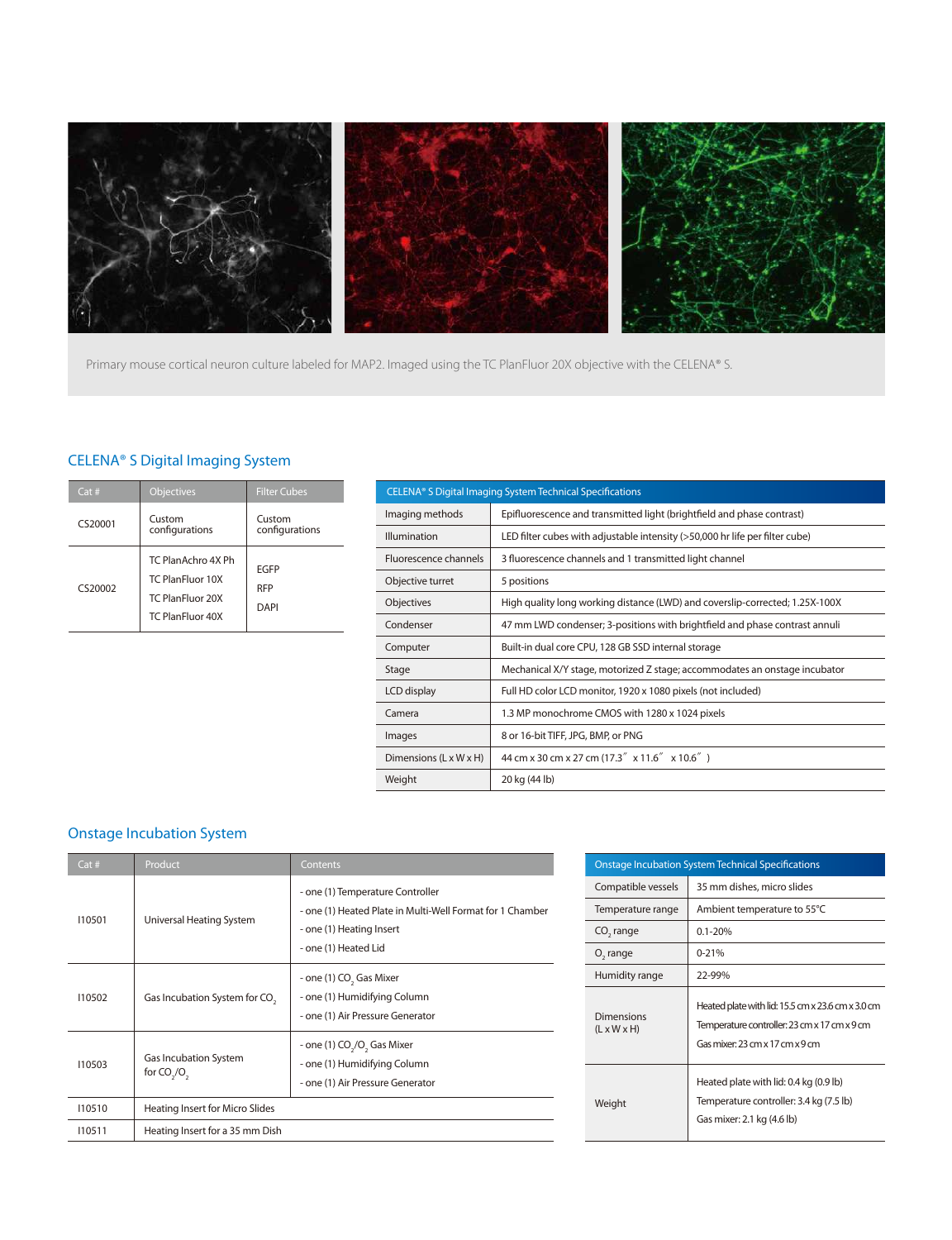

Primary mouse cortical neuron culture labeled for MAP2. Imaged using the TC PlanFluor 20X objective with the CELENA® S.

### CELENA® S Digital Imaging System

| Cat#    | <b>Objectives</b>                                                                     | <b>Filter Cubes</b>               |
|---------|---------------------------------------------------------------------------------------|-----------------------------------|
| CS20001 | Custom<br>configurations                                                              | Custom<br>configurations          |
| CS20002 | TC PlanAchro 4X Ph<br>TC PlanFluor 10X<br>TC PlanFluor 20X<br><b>TC PlanFluor 40X</b> | <b>FGFP</b><br><b>RFP</b><br>DAPI |

| CELENA® S Digital Imaging System Technical Specifications |                                                                              |  |  |  |
|-----------------------------------------------------------|------------------------------------------------------------------------------|--|--|--|
| Imaging methods                                           | Epifluorescence and transmitted light (brightfield and phase contrast)       |  |  |  |
| <b>Illumination</b>                                       | LED filter cubes with adjustable intensity (>50,000 hr life per filter cube) |  |  |  |
| Fluorescence channels                                     | 3 fluorescence channels and 1 transmitted light channel                      |  |  |  |
| Objective turret                                          | 5 positions                                                                  |  |  |  |
| Objectives                                                | High quality long working distance (LWD) and coverslip-corrected; 1.25X-100X |  |  |  |
| Condenser                                                 | 47 mm LWD condenser; 3-positions with brightfield and phase contrast annuli  |  |  |  |
| Computer                                                  | Built-in dual core CPU, 128 GB SSD internal storage                          |  |  |  |
| Stage                                                     | Mechanical X/Y stage, motorized Z stage; accommodates an onstage incubator   |  |  |  |
| LCD display                                               | Full HD color LCD monitor, 1920 x 1080 pixels (not included)                 |  |  |  |
| Camera                                                    | 1.3 MP monochrome CMOS with 1280 x 1024 pixels                               |  |  |  |
| Images                                                    | 8 or 16-bit TIFF, JPG, BMP, or PNG                                           |  |  |  |
| Dimensions $(L \times W \times H)$                        | 44 cm x 30 cm x 27 cm (17.3" x 11.6" x 10.6")                                |  |  |  |
| Weight                                                    | 20 kg (44 lb)                                                                |  |  |  |

### Onstage Incubation System

| Cat#   | Product                                   | Contents                                                                                                                                          |
|--------|-------------------------------------------|---------------------------------------------------------------------------------------------------------------------------------------------------|
| 110501 | Universal Heating System                  | - one (1) Temperature Controller<br>- one (1) Heated Plate in Multi-Well Format for 1 Chamber<br>- one (1) Heating Insert<br>- one (1) Heated Lid |
| 110502 | Gas Incubation System for CO <sub>2</sub> | - one (1) CO <sub>2</sub> Gas Mixer<br>- one (1) Humidifying Column<br>- one (1) Air Pressure Generator                                           |
| 110503 | Gas Incubation System<br>for $CO2/O2$     | - one (1) CO <sub>2</sub> /O <sub>2</sub> Gas Mixer<br>- one (1) Humidifying Column<br>- one (1) Air Pressure Generator                           |
| 110510 | <b>Heating Insert for Micro Slides</b>    |                                                                                                                                                   |
| 110511 | Heating Insert for a 35 mm Dish           |                                                                                                                                                   |

| <b>Onstage Incubation System Technical Specifications</b> |                                                                                                                                      |  |  |  |
|-----------------------------------------------------------|--------------------------------------------------------------------------------------------------------------------------------------|--|--|--|
| Compatible vessels                                        | 35 mm dishes, micro slides                                                                                                           |  |  |  |
| Temperature range                                         | Ambient temperature to 55°C                                                                                                          |  |  |  |
| CO <sub>s</sub> range                                     | $0.1 - 20%$                                                                                                                          |  |  |  |
| O <sub>2</sub> range                                      | $0 - 21%$                                                                                                                            |  |  |  |
| Humidity range                                            | 22-99%                                                                                                                               |  |  |  |
| Dimensions<br>$(L \times W \times H)$                     | Heated plate with lid: 15.5 cm x 23.6 cm x 3.0 cm<br>Temperature controller: 23 cm x 17 cm x 9 cm<br>Gas mixer: 23 cm x 17 cm x 9 cm |  |  |  |
| Weight                                                    | Heated plate with lid: 0.4 kg (0.9 lb)<br>Temperature controller: 3.4 kg (7.5 lb)<br>Gas mixer: 2.1 kg (4.6 lb)                      |  |  |  |